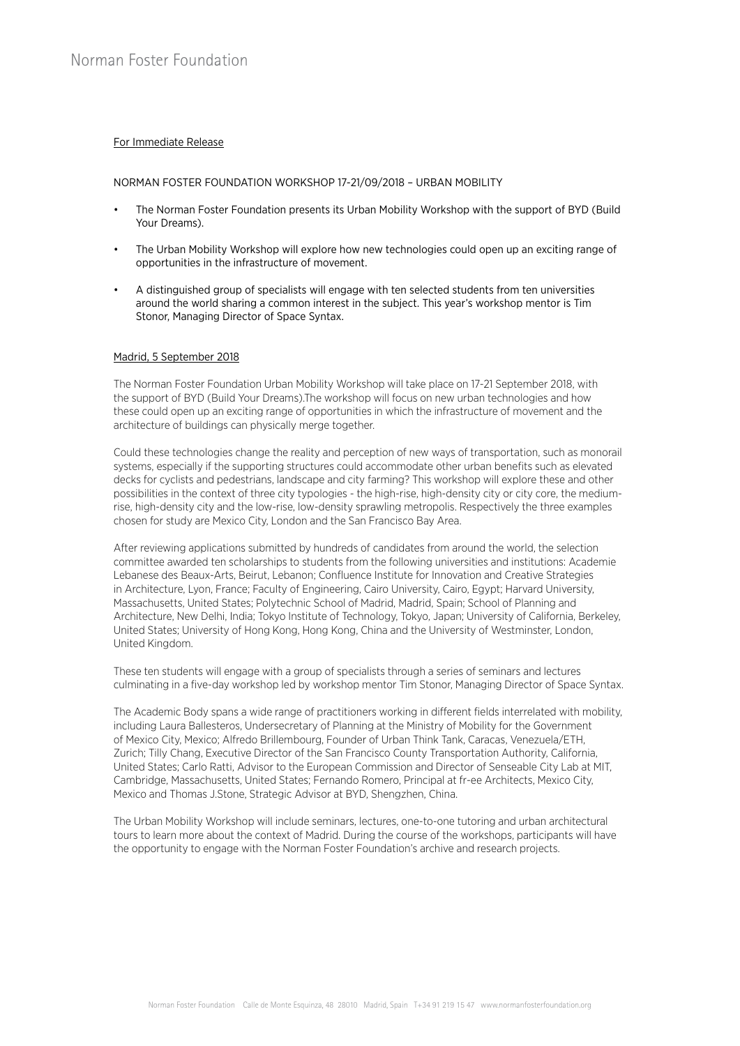# For Immediate Release

## NORMAN FOSTER FOUNDATION WORKSHOP 17-21/09/2018 – URBAN MOBILITY

- The Norman Foster Foundation presents its Urban Mobility Workshop with the support of BYD (Build Your Dreams).
- The Urban Mobility Workshop will explore how new technologies could open up an exciting range of opportunities in the infrastructure of movement.
- A distinguished group of specialists will engage with ten selected students from ten universities around the world sharing a common interest in the subject. This year's workshop mentor is Tim Stonor, Managing Director of Space Syntax.

## Madrid, 5 September 2018

The Norman Foster Foundation Urban Mobility Workshop will take place on 17-21 September 2018, with the support of BYD (Build Your Dreams).The workshop will focus on new urban technologies and how these could open up an exciting range of opportunities in which the infrastructure of movement and the architecture of buildings can physically merge together.

Could these technologies change the reality and perception of new ways of transportation, such as monorail systems, especially if the supporting structures could accommodate other urban benefits such as elevated decks for cyclists and pedestrians, landscape and city farming? This workshop will explore these and other possibilities in the context of three city typologies - the high-rise, high-density city or city core, the mediumrise, high-density city and the low-rise, low-density sprawling metropolis. Respectively the three examples chosen for study are Mexico City, London and the San Francisco Bay Area.

After reviewing applications submitted by hundreds of candidates from around the world, the selection committee awarded ten scholarships to students from the following universities and institutions: Academie Lebanese des Beaux-Arts, Beirut, Lebanon; Confluence Institute for Innovation and Creative Strategies in Architecture, Lyon, France; Faculty of Engineering, Cairo University, Cairo, Egypt; Harvard University, Massachusetts, United States; Polytechnic School of Madrid, Madrid, Spain; School of Planning and Architecture, New Delhi, India; Tokyo Institute of Technology, Tokyo, Japan; University of California, Berkeley, United States; University of Hong Kong, Hong Kong, China and the University of Westminster, London, United Kingdom.

These ten students will engage with a group of specialists through a series of seminars and lectures culminating in a five-day workshop led by workshop mentor Tim Stonor, Managing Director of Space Syntax.

The Academic Body spans a wide range of practitioners working in different fields interrelated with mobility, including Laura Ballesteros, Undersecretary of Planning at the Ministry of Mobility for the Government of Mexico City, Mexico; Alfredo Brillembourg, Founder of Urban Think Tank, Caracas, Venezuela/ETH, Zurich; Tilly Chang, Executive Director of the San Francisco County Transportation Authority, California, United States; Carlo Ratti, Advisor to the European Commission and Director of Senseable City Lab at MIT, Cambridge, Massachusetts, United States; Fernando Romero, Principal at fr-ee Architects, Mexico City, Mexico and Thomas J.Stone, Strategic Advisor at BYD, Shengzhen, China.

The Urban Mobility Workshop will include seminars, lectures, one-to-one tutoring and urban architectural tours to learn more about the context of Madrid. During the course of the workshops, participants will have the opportunity to engage with the Norman Foster Foundation's archive and research projects.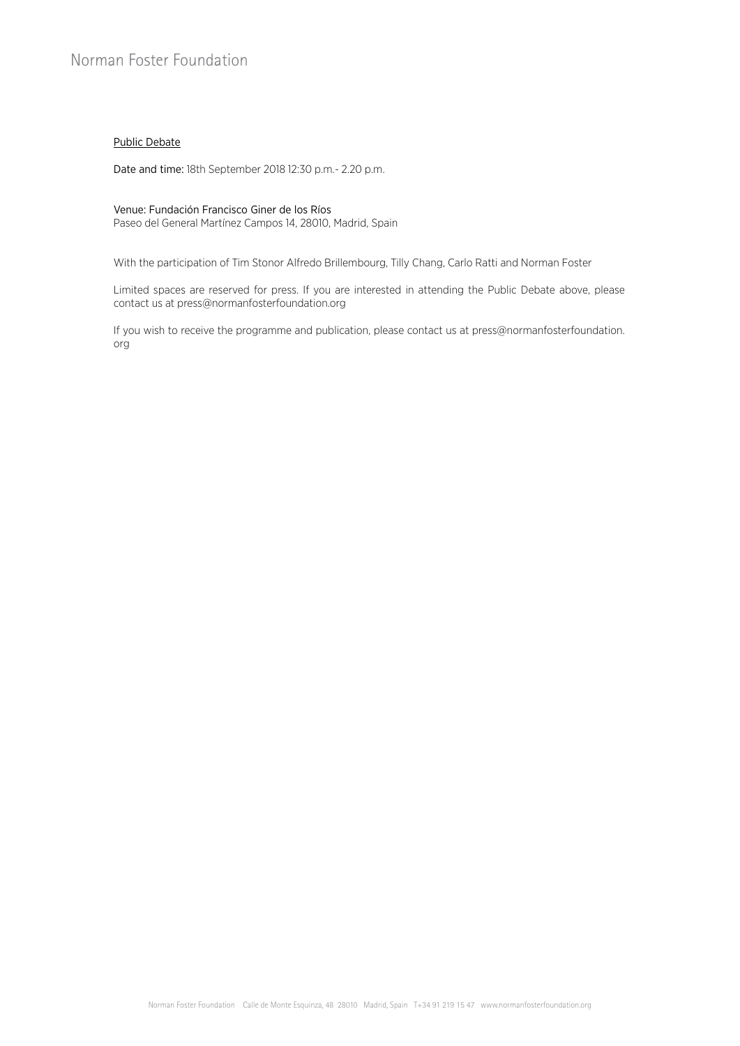# Public Debate

Date and time: 18th September 2018 12:30 p.m.- 2.20 p.m.

#### Venue: Fundación Francisco Giner de los Ríos

Paseo del General Martínez Campos 14, 28010, Madrid, Spain

With the participation of Tim Stonor Alfredo Brillembourg, Tilly Chang, Carlo Ratti and Norman Foster

Limited spaces are reserved for press. If you are interested in attending the Public Debate above, please contact us at press@normanfosterfoundation.org

If you wish to receive the programme and publication, please contact us at press@normanfosterfoundation. org